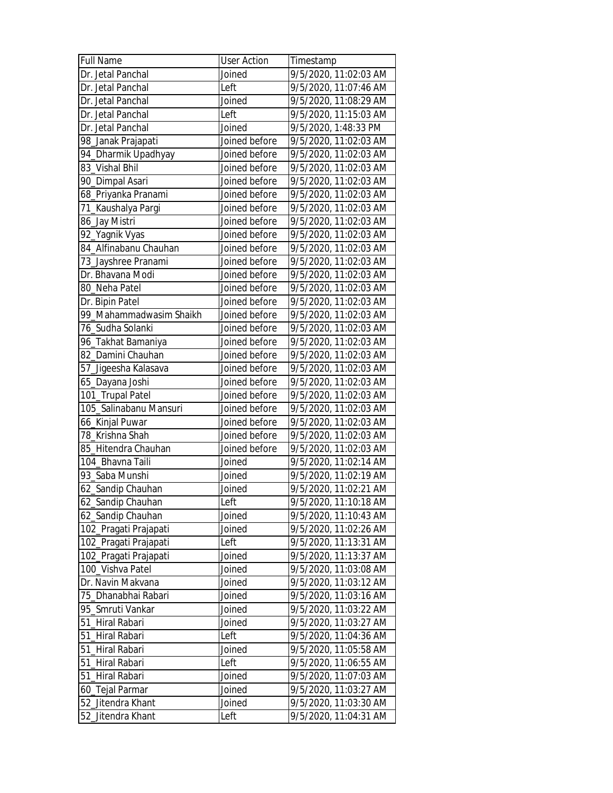| <b>Full Name</b>        | <b>User Action</b> | Timestamp             |
|-------------------------|--------------------|-----------------------|
| Dr. Jetal Panchal       | Joined             | 9/5/2020, 11:02:03 AM |
| Dr. Jetal Panchal       | Left               | 9/5/2020, 11:07:46 AM |
| Dr. Jetal Panchal       | Joined             | 9/5/2020, 11:08:29 AM |
| Dr. Jetal Panchal       | Left               | 9/5/2020, 11:15:03 AM |
| Dr. Jetal Panchal       | Joined             | 9/5/2020, 1:48:33 PM  |
| 98_Janak Prajapati      | Joined before      | 9/5/2020, 11:02:03 AM |
| 94_Dharmik Upadhyay     | Joined before      | 9/5/2020, 11:02:03 AM |
| 83 Vishal Bhil          | Joined before      | 9/5/2020, 11:02:03 AM |
| 90_Dimpal Asari         | Joined before      | 9/5/2020, 11:02:03 AM |
| 68_Priyanka Pranami     | Joined before      | 9/5/2020, 11:02:03 AM |
| 71_Kaushalya Pargi      | Joined before      | 9/5/2020, 11:02:03 AM |
| 86_Jay Mistri           | Joined before      | 9/5/2020, 11:02:03 AM |
| 92_Yagnik Vyas          | Joined before      | 9/5/2020, 11:02:03 AM |
| 84_Alfinabanu Chauhan   | Joined before      | 9/5/2020, 11:02:03 AM |
| 73_Jayshree Pranami     | Joined before      | 9/5/2020, 11:02:03 AM |
| Dr. Bhavana Modi        | Joined before      | 9/5/2020, 11:02:03 AM |
| 80 Neha Patel           | Joined before      | 9/5/2020, 11:02:03 AM |
| Dr. Bipin Patel         | Joined before      | 9/5/2020, 11:02:03 AM |
| 99_Mahammadwasim Shaikh | Joined before      | 9/5/2020, 11:02:03 AM |
| 76_Sudha Solanki        | Joined before      | 9/5/2020, 11:02:03 AM |
| 96_Takhat Bamaniya      | Joined before      | 9/5/2020, 11:02:03 AM |
| 82_Damini Chauhan       | Joined before      | 9/5/2020, 11:02:03 AM |
| 57_Jigeesha Kalasava    | Joined before      | 9/5/2020, 11:02:03 AM |
| 65_Dayana Joshi         | Joined before      | 9/5/2020, 11:02:03 AM |
| 101_Trupal Patel        | Joined before      | 9/5/2020, 11:02:03 AM |
| 105_Salinabanu Mansuri  | Joined before      | 9/5/2020, 11:02:03 AM |
| 66_Kinjal Puwar         | Joined before      | 9/5/2020, 11:02:03 AM |
| 78_Krishna Shah         | Joined before      | 9/5/2020, 11:02:03 AM |
| 85_Hitendra Chauhan     | Joined before      | 9/5/2020, 11:02:03 AM |
| 104_Bhavna Taili        | Joined             | 9/5/2020, 11:02:14 AM |
| 93_Saba Munshi          | Joined             | 9/5/2020, 11:02:19 AM |
| 62_Sandip Chauhan       | Joined             | 9/5/2020, 11:02:21 AM |
| 62_Sandip Chauhan       | Left               | 9/5/2020, 11:10:18 AM |
| 62_Sandip Chauhan       | Joined             | 9/5/2020, 11:10:43 AM |
| 102_Pragati Prajapati   | Joined             | 9/5/2020, 11:02:26 AM |
| 102_Pragati Prajapati   | Left               | 9/5/2020, 11:13:31 AM |
| 102_Pragati Prajapati   | Joined             | 9/5/2020, 11:13:37 AM |
| 100_Vishva Patel        | Joined             | 9/5/2020, 11:03:08 AM |
| Dr. Navin Makvana       | Joined             | 9/5/2020, 11:03:12 AM |
| 75 Dhanabhai Rabari     | Joined             | 9/5/2020, 11:03:16 AM |
| 95_Smruti Vankar        | Joined             | 9/5/2020, 11:03:22 AM |
| 51_Hiral Rabari         | Joined             | 9/5/2020, 11:03:27 AM |
| 51_Hiral Rabari         | Left               | 9/5/2020, 11:04:36 AM |
| 51_Hiral Rabari         | Joined             | 9/5/2020, 11:05:58 AM |
| 51_Hiral Rabari         | Left               | 9/5/2020, 11:06:55 AM |
| 51_Hiral Rabari         | Joined             | 9/5/2020, 11:07:03 AM |
| 60_Tejal Parmar         | Joined             | 9/5/2020, 11:03:27 AM |
| 52_Jitendra Khant       | Joined             | 9/5/2020, 11:03:30 AM |
| 52_Jitendra Khant       | Left               | 9/5/2020, 11:04:31 AM |